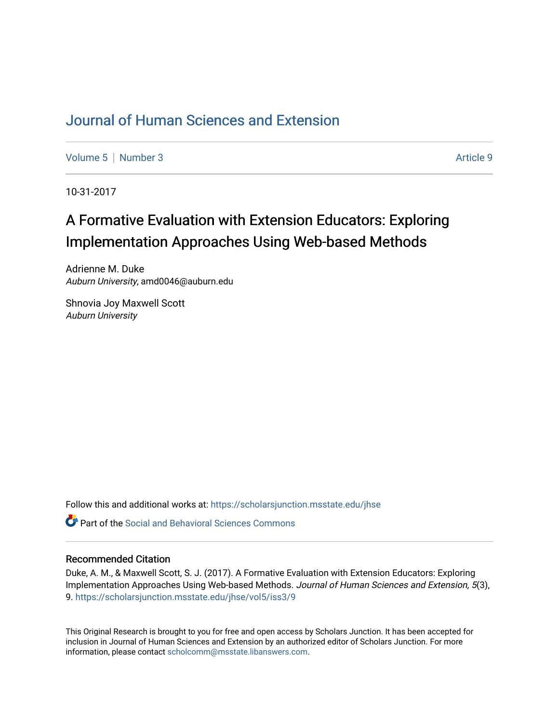# [Journal of Human Sciences and Extension](https://scholarsjunction.msstate.edu/jhse)

[Volume 5](https://scholarsjunction.msstate.edu/jhse/vol5) | [Number 3](https://scholarsjunction.msstate.edu/jhse/vol5/iss3) Article 9

10-31-2017

# A Formative Evaluation with Extension Educators: Exploring Implementation Approaches Using Web-based Methods

Adrienne M. Duke Auburn University, amd0046@auburn.edu

Shnovia Joy Maxwell Scott Auburn University

Follow this and additional works at: [https://scholarsjunction.msstate.edu/jhse](https://scholarsjunction.msstate.edu/jhse?utm_source=scholarsjunction.msstate.edu%2Fjhse%2Fvol5%2Fiss3%2F9&utm_medium=PDF&utm_campaign=PDFCoverPages)

 $\bullet$  Part of the Social and Behavioral Sciences Commons

#### Recommended Citation

Duke, A. M., & Maxwell Scott, S. J. (2017). A Formative Evaluation with Extension Educators: Exploring Implementation Approaches Using Web-based Methods. Journal of Human Sciences and Extension, 5(3), 9. [https://scholarsjunction.msstate.edu/jhse/vol5/iss3/9](https://scholarsjunction.msstate.edu/jhse/vol5/iss3/9?utm_source=scholarsjunction.msstate.edu%2Fjhse%2Fvol5%2Fiss3%2F9&utm_medium=PDF&utm_campaign=PDFCoverPages)

This Original Research is brought to you for free and open access by Scholars Junction. It has been accepted for inclusion in Journal of Human Sciences and Extension by an authorized editor of Scholars Junction. For more information, please contact [scholcomm@msstate.libanswers.com](mailto:scholcomm@msstate.libanswers.com).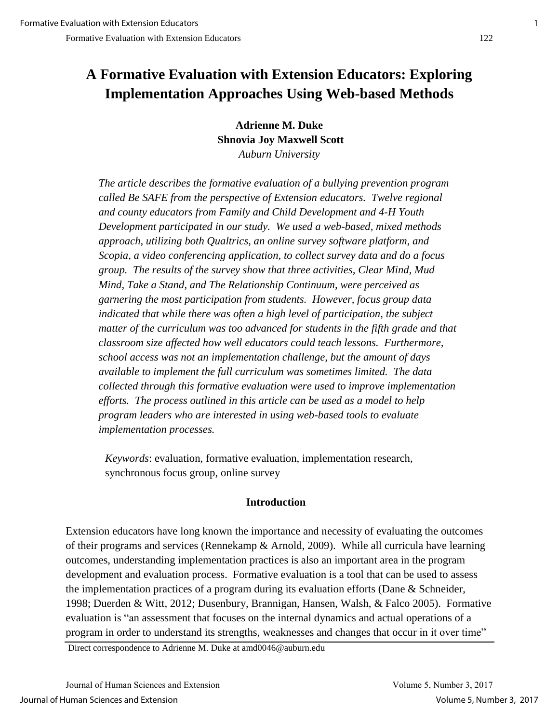# **A Formative Evaluation with Extension Educators: Exploring Implementation Approaches Using Web-based Methods**

**Adrienne M. Duke Shnovia Joy Maxwell Scott**  *Auburn University*

*The article describes the formative evaluation of a bullying prevention program called Be SAFE from the perspective of Extension educators. Twelve regional and county educators from Family and Child Development and 4-H Youth Development participated in our study. We used a web-based, mixed methods approach, utilizing both Qualtrics, an online survey software platform, and Scopia, a video conferencing application, to collect survey data and do a focus group. The results of the survey show that three activities, Clear Mind, Mud Mind, Take a Stand, and The Relationship Continuum, were perceived as garnering the most participation from students. However, focus group data indicated that while there was often a high level of participation, the subject matter of the curriculum was too advanced for students in the fifth grade and that classroom size affected how well educators could teach lessons. Furthermore, school access was not an implementation challenge, but the amount of days available to implement the full curriculum was sometimes limited. The data collected through this formative evaluation were used to improve implementation efforts. The process outlined in this article can be used as a model to help program leaders who are interested in using web-based tools to evaluate implementation processes.* 

*Keywords*: evaluation, formative evaluation, implementation research, synchronous focus group, online survey

## **Introduction**

Extension educators have long known the importance and necessity of evaluating the outcomes of their programs and services (Rennekamp & Arnold, 2009). While all curricula have learning outcomes, understanding implementation practices is also an important area in the program development and evaluation process. Formative evaluation is a tool that can be used to assess the implementation practices of a program during its evaluation efforts (Dane & Schneider, 1998; Duerden & Witt, 2012; Dusenbury, Brannigan, Hansen, Walsh, & Falco 2005). Formative evaluation is "an assessment that focuses on the internal dynamics and actual operations of a program in order to understand its strengths, weaknesses and changes that occur in it over time"

Direct correspondence to Adrienne M. Duke at amd0046@auburn.edu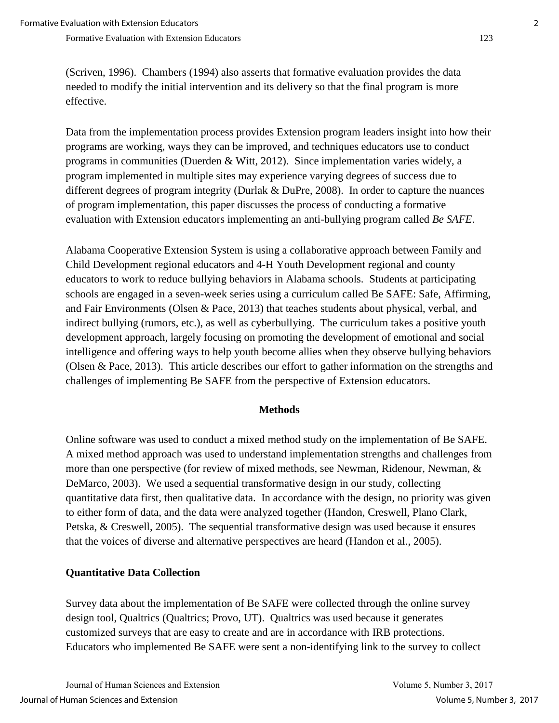(Scriven, 1996). Chambers (1994) also asserts that formative evaluation provides the data needed to modify the initial intervention and its delivery so that the final program is more effective.

Data from the implementation process provides Extension program leaders insight into how their programs are working, ways they can be improved, and techniques educators use to conduct programs in communities (Duerden & Witt, 2012). Since implementation varies widely, a program implemented in multiple sites may experience varying degrees of success due to different degrees of program integrity (Durlak & DuPre, 2008). In order to capture the nuances of program implementation, this paper discusses the process of conducting a formative evaluation with Extension educators implementing an anti-bullying program called *Be SAFE*.

Alabama Cooperative Extension System is using a collaborative approach between Family and Child Development regional educators and 4-H Youth Development regional and county educators to work to reduce bullying behaviors in Alabama schools. Students at participating schools are engaged in a seven-week series using a curriculum called Be SAFE: Safe, Affirming, and Fair Environments (Olsen & Pace, 2013) that teaches students about physical, verbal, and indirect bullying (rumors, etc.), as well as cyberbullying. The curriculum takes a positive youth development approach, largely focusing on promoting the development of emotional and social intelligence and offering ways to help youth become allies when they observe bullying behaviors (Olsen & Pace, 2013). This article describes our effort to gather information on the strengths and challenges of implementing Be SAFE from the perspective of Extension educators.

#### **Methods**

Online software was used to conduct a mixed method study on the implementation of Be SAFE. A mixed method approach was used to understand implementation strengths and challenges from more than one perspective (for review of mixed methods, see Newman, Ridenour, Newman, & DeMarco, 2003). We used a sequential transformative design in our study, collecting quantitative data first, then qualitative data. In accordance with the design, no priority was given to either form of data, and the data were analyzed together (Handon, Creswell, Plano Clark, Petska, & Creswell, 2005). The sequential transformative design was used because it ensures that the voices of diverse and alternative perspectives are heard (Handon et al., 2005).

### **Quantitative Data Collection**

Survey data about the implementation of Be SAFE were collected through the online survey design tool, Qualtrics (Qualtrics; Provo, UT). Qualtrics was used because it generates customized surveys that are easy to create and are in accordance with IRB protections. Educators who implemented Be SAFE were sent a non-identifying link to the survey to collect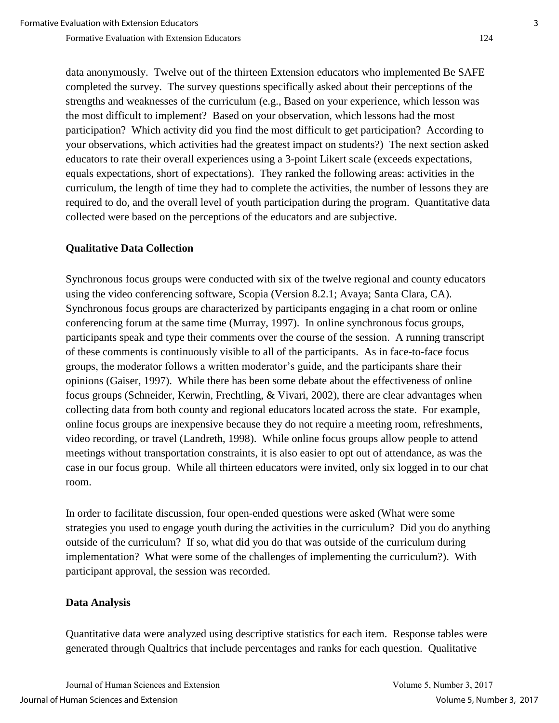data anonymously. Twelve out of the thirteen Extension educators who implemented Be SAFE completed the survey. The survey questions specifically asked about their perceptions of the strengths and weaknesses of the curriculum (e.g., Based on your experience, which lesson was the most difficult to implement? Based on your observation, which lessons had the most participation? Which activity did you find the most difficult to get participation? According to your observations, which activities had the greatest impact on students?) The next section asked educators to rate their overall experiences using a 3-point Likert scale (exceeds expectations, equals expectations, short of expectations). They ranked the following areas: activities in the curriculum, the length of time they had to complete the activities, the number of lessons they are required to do, and the overall level of youth participation during the program. Quantitative data collected were based on the perceptions of the educators and are subjective.

# **Qualitative Data Collection**

Synchronous focus groups were conducted with six of the twelve regional and county educators using the video conferencing software, Scopia (Version 8.2.1; Avaya; Santa Clara, CA). Synchronous focus groups are characterized by participants engaging in a chat room or online conferencing forum at the same time (Murray, 1997). In online synchronous focus groups, participants speak and type their comments over the course of the session. A running transcript of these comments is continuously visible to all of the participants. As in face-to-face focus groups, the moderator follows a written moderator's guide, and the participants share their opinions (Gaiser, 1997). While there has been some debate about the effectiveness of online focus groups (Schneider, Kerwin, Frechtling, & Vivari, 2002), there are clear advantages when collecting data from both county and regional educators located across the state. For example, online focus groups are inexpensive because they do not require a meeting room, refreshments, video recording, or travel (Landreth, 1998). While online focus groups allow people to attend meetings without transportation constraints, it is also easier to opt out of attendance, as was the case in our focus group. While all thirteen educators were invited, only six logged in to our chat room.

In order to facilitate discussion, four open-ended questions were asked (What were some strategies you used to engage youth during the activities in the curriculum? Did you do anything outside of the curriculum? If so, what did you do that was outside of the curriculum during implementation? What were some of the challenges of implementing the curriculum?). With participant approval, the session was recorded.

## **Data Analysis**

Quantitative data were analyzed using descriptive statistics for each item. Response tables were generated through Qualtrics that include percentages and ranks for each question. Qualitative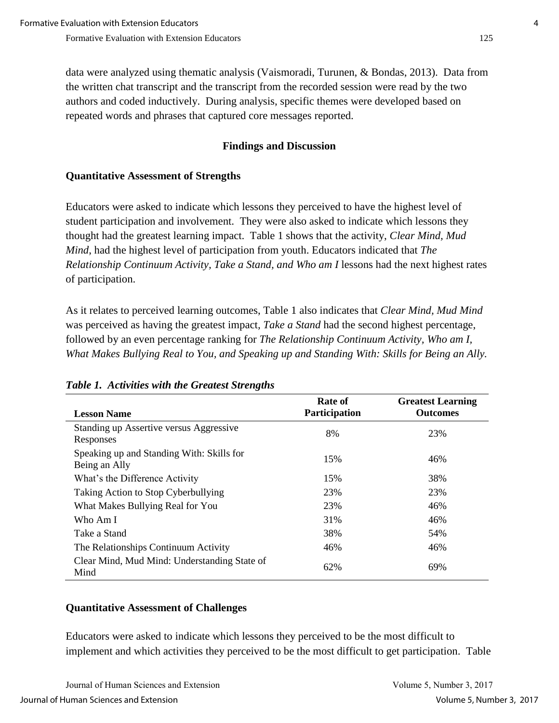data were analyzed using thematic analysis (Vaismoradi, Turunen, & Bondas, 2013). Data from the written chat transcript and the transcript from the recorded session were read by the two authors and coded inductively. During analysis, specific themes were developed based on repeated words and phrases that captured core messages reported.

## **Findings and Discussion**

# **Quantitative Assessment of Strengths**

Educators were asked to indicate which lessons they perceived to have the highest level of student participation and involvement. They were also asked to indicate which lessons they thought had the greatest learning impact. Table 1 shows that the activity, *Clear Mind, Mud Mind*, had the highest level of participation from youth. Educators indicated that *The Relationship Continuum Activity, Take a Stand, and Who am I* lessons had the next highest rates of participation.

As it relates to perceived learning outcomes, Table 1 also indicates that *Clear Mind, Mud Mind* was perceived as having the greatest impact*, Take a Stand* had the second highest percentage, followed by an even percentage ranking for *The Relationship Continuum Activity, Who am I, What Makes Bullying Real to You, and Speaking up and Standing With: Skills for Being an Ally.*

| <b>Lesson Name</b>                                         | Rate of<br><b>Participation</b> | <b>Greatest Learning</b><br><b>Outcomes</b> |
|------------------------------------------------------------|---------------------------------|---------------------------------------------|
| Standing up Assertive versus Aggressive<br>Responses       | 8%                              | 23%                                         |
| Speaking up and Standing With: Skills for<br>Being an Ally | 15%                             | 46%                                         |
| What's the Difference Activity                             | 15%                             | 38%                                         |
| Taking Action to Stop Cyberbullying                        | 23%                             | 23%                                         |
| What Makes Bullying Real for You                           | 23%                             | 46%                                         |
| Who Am I                                                   | 31%                             | 46%                                         |
| Take a Stand                                               | 38%                             | 54%                                         |
| The Relationships Continuum Activity                       | 46%                             | 46%                                         |
| Clear Mind, Mud Mind: Understanding State of<br>Mind       | 62%                             | 69%                                         |

### *Table 1. Activities with the Greatest Strengths*

## **Quantitative Assessment of Challenges**

Educators were asked to indicate which lessons they perceived to be the most difficult to implement and which activities they perceived to be the most difficult to get participation. Table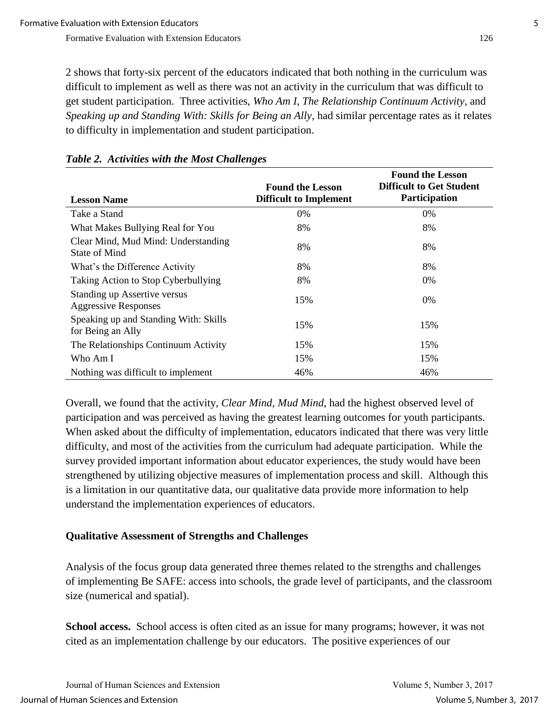2 shows that forty-six percent of the educators indicated that both nothing in the curriculum was difficult to implement as well as there was not an activity in the curriculum that was difficult to get student participation. Three activities, *Who Am I*, *The Relationship Continuum Activity,* and *Speaking up and Standing With: Skills for Being an Ally,* had similar percentage rates as it relates to difficulty in implementation and student participation.

|                                                             | <b>Found the Lesson</b>       | <b>Found the Lesson</b><br><b>Difficult to Get Student</b> |
|-------------------------------------------------------------|-------------------------------|------------------------------------------------------------|
| <b>Lesson Name</b>                                          | <b>Difficult to Implement</b> | Participation                                              |
| Take a Stand                                                | $0\%$                         | $0\%$                                                      |
| What Makes Bullying Real for You                            | 8%                            | 8%                                                         |
| Clear Mind, Mud Mind: Understanding<br>State of Mind        | 8%                            | 8%                                                         |
| What's the Difference Activity                              | 8%                            | 8%                                                         |
| Taking Action to Stop Cyberbullying                         | 8%                            | 0%                                                         |
| Standing up Assertive versus<br><b>Aggressive Responses</b> | 15%                           | 0%                                                         |
| Speaking up and Standing With: Skills<br>for Being an Ally  | 15%                           | 15%                                                        |
| The Relationships Continuum Activity                        | 15%                           | 15%                                                        |
| Who Am I                                                    | 15%                           | 15%                                                        |
| Nothing was difficult to implement                          | 46%                           | 46%                                                        |

#### *Table 2. Activities with the Most Challenges*

Overall, we found that the activity, *Clear Mind, Mud Mind*, had the highest observed level of participation and was perceived as having the greatest learning outcomes for youth participants. When asked about the difficulty of implementation, educators indicated that there was very little difficulty, and most of the activities from the curriculum had adequate participation. While the survey provided important information about educator experiences, the study would have been strengthened by utilizing objective measures of implementation process and skill. Although this is a limitation in our quantitative data, our qualitative data provide more information to help understand the implementation experiences of educators.

### **Qualitative Assessment of Strengths and Challenges**

Analysis of the focus group data generated three themes related to the strengths and challenges of implementing Be SAFE: access into schools, the grade level of participants, and the classroom size (numerical and spatial).

**School access.** School access is often cited as an issue for many programs; however, it was not cited as an implementation challenge by our educators. The positive experiences of our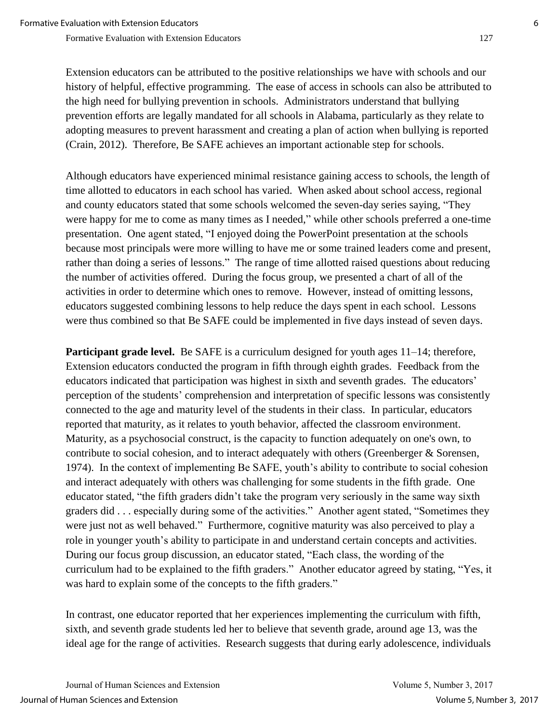Extension educators can be attributed to the positive relationships we have with schools and our history of helpful, effective programming. The ease of access in schools can also be attributed to the high need for bullying prevention in schools. Administrators understand that bullying prevention efforts are legally mandated for all schools in Alabama, particularly as they relate to adopting measures to prevent harassment and creating a plan of action when bullying is reported (Crain, 2012). Therefore, Be SAFE achieves an important actionable step for schools.

Although educators have experienced minimal resistance gaining access to schools, the length of time allotted to educators in each school has varied. When asked about school access, regional and county educators stated that some schools welcomed the seven-day series saying, "They were happy for me to come as many times as I needed," while other schools preferred a one-time presentation. One agent stated, "I enjoyed doing the PowerPoint presentation at the schools because most principals were more willing to have me or some trained leaders come and present, rather than doing a series of lessons." The range of time allotted raised questions about reducing the number of activities offered. During the focus group, we presented a chart of all of the activities in order to determine which ones to remove. However, instead of omitting lessons, educators suggested combining lessons to help reduce the days spent in each school. Lessons were thus combined so that Be SAFE could be implemented in five days instead of seven days.

**Participant grade level.** Be SAFE is a curriculum designed for youth ages 11–14; therefore, Extension educators conducted the program in fifth through eighth grades. Feedback from the educators indicated that participation was highest in sixth and seventh grades. The educators' perception of the students' comprehension and interpretation of specific lessons was consistently connected to the age and maturity level of the students in their class. In particular, educators reported that maturity, as it relates to youth behavior, affected the classroom environment. Maturity, as a psychosocial construct, is the capacity to function adequately on one's own, to contribute to social cohesion, and to interact adequately with others (Greenberger & Sorensen, 1974). In the context of implementing Be SAFE, youth's ability to contribute to social cohesion and interact adequately with others was challenging for some students in the fifth grade. One educator stated, "the fifth graders didn't take the program very seriously in the same way sixth graders did . . . especially during some of the activities." Another agent stated, "Sometimes they were just not as well behaved." Furthermore, cognitive maturity was also perceived to play a role in younger youth's ability to participate in and understand certain concepts and activities. During our focus group discussion, an educator stated, "Each class, the wording of the curriculum had to be explained to the fifth graders." Another educator agreed by stating, "Yes, it was hard to explain some of the concepts to the fifth graders."

In contrast, one educator reported that her experiences implementing the curriculum with fifth, sixth, and seventh grade students led her to believe that seventh grade, around age 13, was the ideal age for the range of activities. Research suggests that during early adolescence, individuals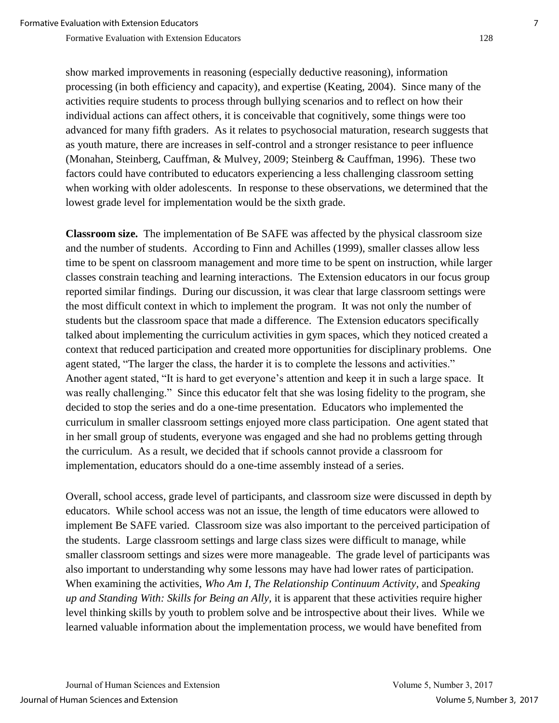show marked improvements in reasoning (especially deductive reasoning), information processing (in both efficiency and capacity), and expertise (Keating, 2004). Since many of the activities require students to process through bullying scenarios and to reflect on how their individual actions can affect others, it is conceivable that cognitively, some things were too advanced for many fifth graders. As it relates to psychosocial maturation, research suggests that as youth mature, there are increases in self-control and a stronger resistance to peer influence (Monahan, Steinberg, Cauffman, & Mulvey, 2009; [Steinberg & Cauffman, 1996\)](http://www.ncbi.nlm.nih.gov/pmc/articles/PMC2886970/#R39). These two factors could have contributed to educators experiencing a less challenging classroom setting when working with older adolescents. In response to these observations, we determined that the lowest grade level for implementation would be the sixth grade.

**Classroom size.**The implementation of Be SAFE was affected by the physical classroom size and the number of students. According to Finn and Achilles (1999), smaller classes allow less time to be spent on classroom management and more time to be spent on instruction, while larger classes constrain teaching and learning interactions. The Extension educators in our focus group reported similar findings. During our discussion, it was clear that large classroom settings were the most difficult context in which to implement the program. It was not only the number of students but the classroom space that made a difference. The Extension educators specifically talked about implementing the curriculum activities in gym spaces, which they noticed created a context that reduced participation and created more opportunities for disciplinary problems. One agent stated, "The larger the class, the harder it is to complete the lessons and activities." Another agent stated, "It is hard to get everyone's attention and keep it in such a large space. It was really challenging." Since this educator felt that she was losing fidelity to the program, she decided to stop the series and do a one-time presentation. Educators who implemented the curriculum in smaller classroom settings enjoyed more class participation. One agent stated that in her small group of students, everyone was engaged and she had no problems getting through the curriculum. As a result, we decided that if schools cannot provide a classroom for implementation, educators should do a one-time assembly instead of a series.

Overall, school access, grade level of participants, and classroom size were discussed in depth by educators. While school access was not an issue, the length of time educators were allowed to implement Be SAFE varied. Classroom size was also important to the perceived participation of the students. Large classroom settings and large class sizes were difficult to manage, while smaller classroom settings and sizes were more manageable. The grade level of participants was also important to understanding why some lessons may have had lower rates of participation. When examining the activities, *Who Am I*, *The Relationship Continuum Activity,* and *Speaking up and Standing With: Skills for Being an Ally,* it is apparent that these activities require higher level thinking skills by youth to problem solve and be introspective about their lives. While we learned valuable information about the implementation process, we would have benefited from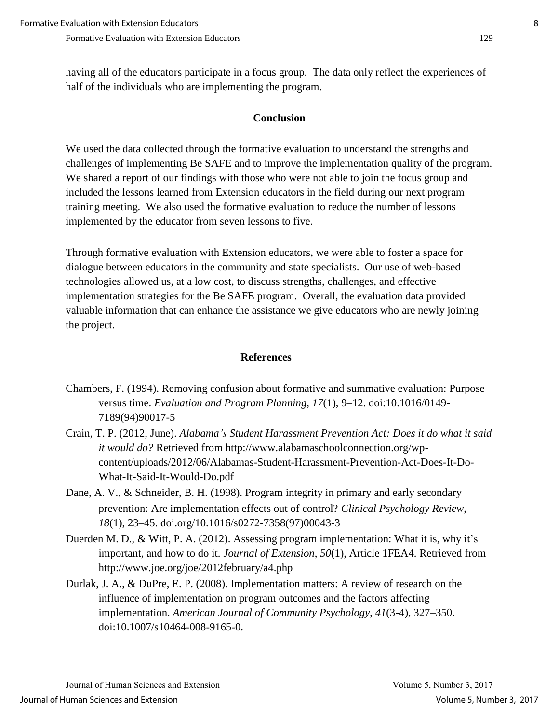having all of the educators participate in a focus group. The data only reflect the experiences of half of the individuals who are implementing the program.

### **Conclusion**

We used the data collected through the formative evaluation to understand the strengths and challenges of implementing Be SAFE and to improve the implementation quality of the program. We shared a report of our findings with those who were not able to join the focus group and included the lessons learned from Extension educators in the field during our next program training meeting. We also used the formative evaluation to reduce the number of lessons implemented by the educator from seven lessons to five.

Through formative evaluation with Extension educators, we were able to foster a space for dialogue between educators in the community and state specialists. Our use of web-based technologies allowed us, at a low cost, to discuss strengths, challenges, and effective implementation strategies for the Be SAFE program. Overall, the evaluation data provided valuable information that can enhance the assistance we give educators who are newly joining the project.

#### **References**

- Chambers, F. (1994). Removing confusion about formative and summative evaluation: Purpose versus time. *Evaluation and Program Planning, 17*(1), 9–12. doi:10.1016/0149- 7189(94)90017-5
- Crain, T. P. (2012, June). *Alabama's Student Harassment Prevention Act: Does it do what it said it would do?* Retrieved from http://www.alabamaschoolconnection.org/wpcontent/uploads/2012/06/Alabamas-Student-Harassment-Prevention-Act-Does-It-Do-What-It-Said-It-Would-Do.pdf
- Dane, A. V., & Schneider, B. H. (1998). Program integrity in primary and early secondary prevention: Are implementation effects out of control? *Clinical Psychology Review*, *18*(1), 23–45. doi.org/10.1016/s0272-7358(97)00043-3
- Duerden M. D., & Witt, P. A. (2012). Assessing program implementation: What it is, why it's important, and how to do it. *Journal of Extension*, *50*(1), Article 1FEA4. Retrieved from http://www.joe.org/joe/2012february/a4.php
- Durlak, J. A., & DuPre, E. P. (2008). Implementation matters: A review of research on the influence of implementation on program outcomes and the factors affecting implementation. *American Journal of Community Psychology*, *41*(3-4), 327–350. doi:10.1007/s10464-008-9165-0.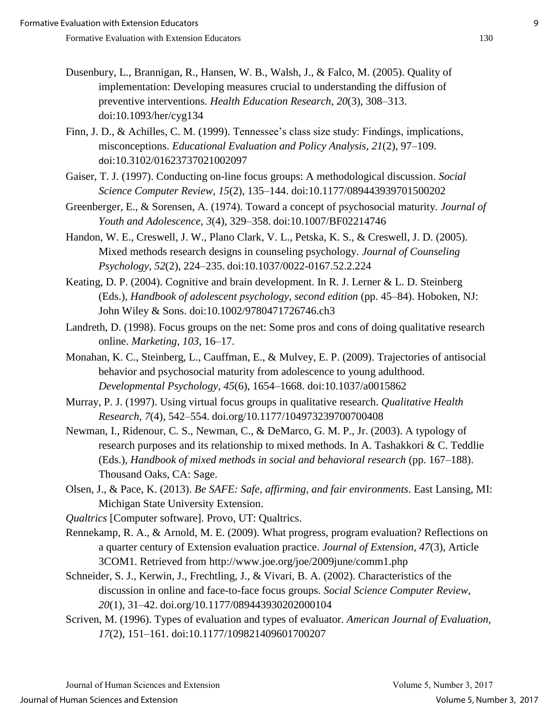- Dusenbury, L., Brannigan, R., Hansen, W. B., Walsh, J., & Falco, M. (2005). Quality of implementation: Developing measures crucial to understanding the diffusion of preventive interventions. *Health Education Research*, *20*(3), 308–313. doi:10.1093/her/cyg134
- Finn, J. D., & Achilles, C. M. (1999). Tennessee's class size study: Findings, implications, misconceptions. *Educational Evaluation and Policy Analysis, 21*(2), 97–109. doi:10.3102/01623737021002097
- Gaiser, T. J. (1997). Conducting on-line focus groups: A methodological discussion. *Social Science Computer Review, 15*(2), 135–144. doi:10.1177/089443939701500202
- Greenberger, E., & Sorensen, A. (1974). Toward a concept of psychosocial maturity. *Journal of Youth and Adolescence*, *3*(4), 329–358. doi:10.1007/BF02214746
- Handon, W. E., Creswell, J. W., Plano Clark, V. L., Petska, K. S., & Creswell, J. D. (2005). Mixed methods research designs in counseling psychology. *Journal of Counseling Psychology*, *52*(2), 224–235. doi:10.1037/0022-0167.52.2.224
- Keating, D. P. (2004). Cognitive and brain development. In R. J. Lerner & L. D. Steinberg (Eds.), *Handbook of adolescent psychology, second edition* (pp. 45–84). Hoboken, NJ: John Wiley & Sons. doi:10.1002/9780471726746.ch3
- Landreth, D. (1998). Focus groups on the net: Some pros and cons of doing qualitative research online. *Marketing*, *103*, 16–17.
- Monahan, K. C., Steinberg, L., Cauffman, E., & Mulvey, E. P. (2009). Trajectories of antisocial behavior and psychosocial maturity from adolescence to young adulthood. *Developmental Psychology*, *45*(6), 1654–1668. doi:10.1037/a0015862
- Murray, P. J. (1997). Using virtual focus groups in qualitative research. *Qualitative Health Research*, *7*(4), 542–554. doi.org/10.1177/104973239700700408
- Newman, I., Ridenour, C. S., Newman, C., & DeMarco, G. M. P., Jr. (2003). A typology of research purposes and its relationship to mixed methods. In A. Tashakkori & C. Teddlie (Eds.), *Handbook of mixed methods in social and behavioral research* (pp. 167–188). Thousand Oaks, CA: Sage.
- Olsen, J., & Pace, K. (2013). *Be SAFE: Safe, affirming, and fair environments*. East Lansing, MI: Michigan State University Extension.
- *Qualtrics* [Computer software]. Provo, UT: Qualtrics.
- Rennekamp, R. A., & Arnold, M. E. (2009). What progress, program evaluation? Reflections on a quarter century of Extension evaluation practice. *Journal of Extension*, *47*(3), Article 3COM1. Retrieved from http://www.joe.org/joe/2009june/comm1.php
- Schneider, S. J., Kerwin, J., Frechtling, J., & Vivari, B. A. (2002). Characteristics of the discussion in online and face-to-face focus groups. *Social Science Computer Review*, *20*(1), 31–42. doi.org/10.1177/089443930202000104
- Scriven, M. (1996). Types of evaluation and types of evaluator. *American Journal of Evaluation, 17*(2), 151–161. doi:10.1177/109821409601700207